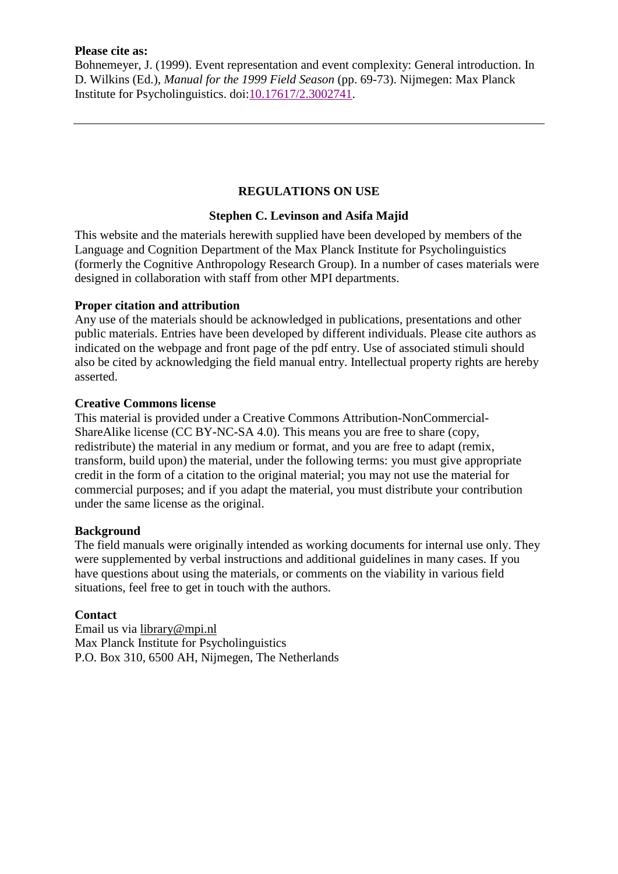#### **Please cite as:**

Bohnemeyer, J. (1999). Event representation and event complexity: General introduction. In D. Wilkins (Ed.), *Manual for the 1999 Field Season* (pp. 69-73). Nijmegen: Max Planck Institute for Psycholinguistics. doi[:10.17617/2.3002741.](https://doi.org/10.17617/2.3002741)

# **REGULATIONS ON USE**

## **Stephen C. Levinson and Asifa Majid**

This website and the materials herewith supplied have been developed by members of the Language and Cognition Department of the Max Planck Institute for Psycholinguistics (formerly the Cognitive Anthropology Research Group). In a number of cases materials were designed in collaboration with staff from other MPI departments.

## **Proper citation and attribution**

Any use of the materials should be acknowledged in publications, presentations and other public materials. Entries have been developed by different individuals. Please cite authors as indicated on the webpage and front page of the pdf entry. Use of associated stimuli should also be cited by acknowledging the field manual entry. Intellectual property rights are hereby asserted.

### **Creative Commons license**

This material is provided under a Creative Commons Attribution-NonCommercial-ShareAlike license (CC BY-NC-SA 4.0). This means you are free to share (copy, redistribute) the material in any medium or format, and you are free to adapt (remix, transform, build upon) the material, under the following terms: you must give appropriate credit in the form of a citation to the original material; you may not use the material for commercial purposes; and if you adapt the material, you must distribute your contribution under the same license as the original.

### **Background**

The field manuals were originally intended as working documents for internal use only. They were supplemented by verbal instructions and additional guidelines in many cases. If you have questions about using the materials, or comments on the viability in various field situations, feel free to get in touch with the authors.

# **Contact**

Email us via [library@mpi.nl](mailto:library@mpi.nl) Max Planck Institute for Psycholinguistics P.O. Box 310, 6500 AH, Nijmegen, The Netherlands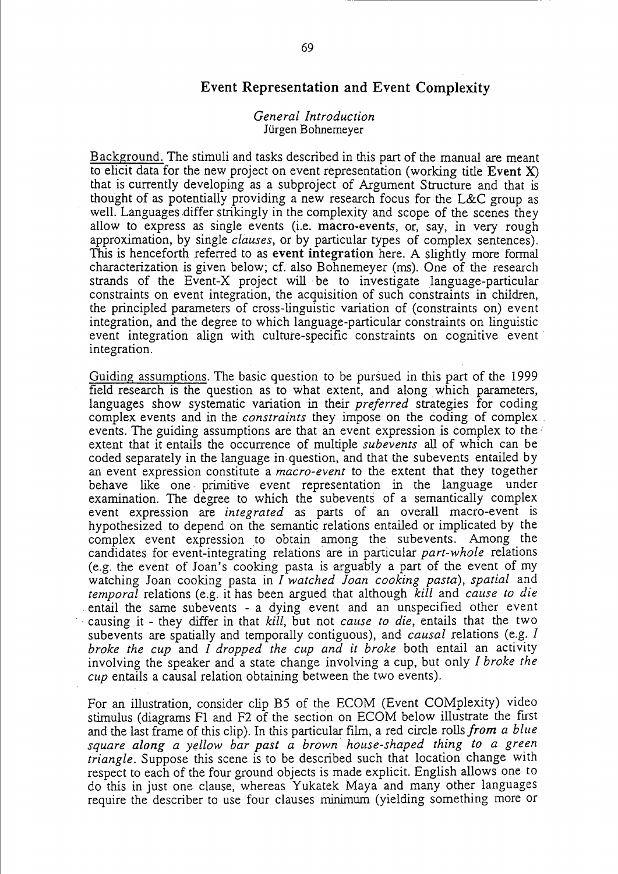# Event Representation and Event Complexity

#### *General Introduction*  Jürgen Bohnemeyer

Background. The stimuli and tasks described in-this part of the manual are meant to elicit data for the new project on event representation (working title Event X) that is currently developing as a subproject of Argument Structure and that is thought of as potentially providing a new research focus for the L&C group as well. Languages differ strikingly in the complexity and scope of the scenes they allow to express as single events (i.e. macro-events, or, say, in very rough approximation, by single *clauses,* or by particular types of complex sentences). This is henceforth referred to as event integration here. A slightly more formal characterization is given below; cf. also Bohnemeyer (ms). One of the research strands of the Event-X project will be to investigate language-particular constraints on event integration, the acquisition of such constraints in children, the principled parameters of cross-linguistic variation of (constraints on) event integration, and the degree to which language-particular constraints on linguistic event integration align with culture-specific constraints on cognitive event' integration.

Guiding assumptions. The basic question to be pursued in this part of the 1999 field research is the question as to what extent, and along which parameters, languages show systematic variation in their *preferred* strategies for coding complex events and in the *constraints* they impose on the coding of complex. events. The guiding assumptions are that an event expression is complex to the extent that it entails the occurrence of multiple *subevents* all of which can be coded separately in the language in question, and that the subevents entailed by an event expression constitute a *macro-event* to the extent that they together behave like one· primitive event representation in the language under examination. The degree to which the subevents of a semantically complex event expression are *integrated* as parts of an overall macro-event is hypothesized to depend on the semantic relations entailed or implicated by the complex event expression to obtain among the subevents. Among the candidates for event-integrating relations are in particular *part-whole* relations (e.g. the event of Joan's cooking pasta is arguably a part of the event of my watching Joan cooking pasta in *I watched Joan cooking pasta), spatial* and *temporal* relations (e.g. it has been argued that although *kill* and *cause to die*  . entail the same subevents - a dying event and an unspecified other event causing it - they differ in that *kill*, but not *cause to die*, entails that the two subevents are spatially and temporally contiguous), and *causal* relations (e.g. *I broke the cup* and *I dropped the cup and it broke* both entail an activity involving the speaker and a state change involving a cup, but only *I broke the cup* entails a causal relation obtaining between the two events).

For an illustration, consider clip B5 of the ECOM (Event COMplexity) video stimulus (diagrams FI and F2 of the section on ECOM below illustrate the first and the last frame of this clip). In this particular film, a red circle rolls *from a blue square along a yellow bar past a brown house-shaped thing to a green triangle.* Suppose this scene is to be described such that location change with respect to each of the four ground objects is made explicit. English allows one to do this in just one clause, whereas Yukatek Maya and many other languages require the describer to use four clauses minimum (yielding something more or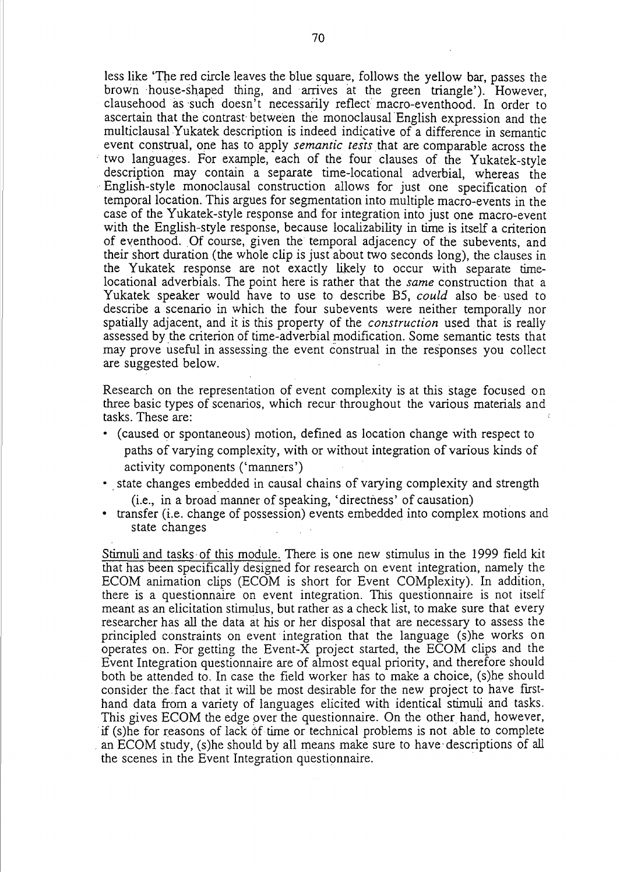less like 'The red circle leaves the blue square, follows the yellow bar, passes the brown 'house-shaped thing, and arrives at the green triangle'). However, clausehood as such doesn't necessarily reflect macro-eventhood. In order to ascertain that the contrast- between the monoclausal English expression and the multiclausal Yukatek description is indeed indicative of a difference in semantic event construal, one has to apply *semantic tests* that are comparable across the two languages. For example, each of the four clauses of the Yukatek-style description may contain a separate time-Iocational adverbial, whereas the ,English-style monoclausal construction allows for just one specification of temporal location. This argues for segmentation into mUltiple macro-events in the case of the Yukatek-style response and for integration into just one macro-event with the English-style response, because localizability in time is itself a criterion of eventhood. Of course, given the temporal adjacency of the subevents, and their short duration (the whole clip is just about two seconds long), the clauses in the Yukatek response are not exactly likely to occur with separate timelocational adverbials. The point here is rather that the *same* construction that a Yukatek speaker would have to use to describe BS, *could* also be, used to describe a scenario in which the four subevents were neither temporally nor spatially adjacent, and it is this property of the *construction* used that is really assessed by the criterion of time-adverbial modification. Some semantic tests that may prove useful in assessing the event construal in the responses you collect are suggested below.

Research on the representation of event complexity is at this stage focused on three basic types of scenarios, which recur throughout the various materials and tasks. These are:

- (caused or spontaneous) motion, defined as location change with respect to paths of varying complexity, with or without integration of various kinds of activity components ('manners')
- state changes embedded in causal chains of varying complexity and strength

(i.e., in a broad manner of speaking, 'directness' of causation)

• transfer (i.e. change of possession) events embedded into complex motions and state changes

Stimuli and tasks of this module. There is one new stimulus in the 1999 field kit that has been specifically designed for research on event integration, namely the ECOM animation clips (ECOM is short for Event COMplexity). In addition, there is a questionnaire on event integration. This questionnaire is not itself meant as an elicitation stimulus, but rather as a check list, to make sure that every researcher has all the data at his or her disposal that are necessary to assess the principled constraints on event integration that the language (s)he works on operates on. For getting the Event-X project started, the ECOM clips and the Event Integration questionnaire are of almost equal priority, and therefore should both be attended to. In case the field worker has to make a choice, (s)he should consider the fact that it will be most desirable for the new project to have firsthand data from a variety of languages elicited with identical stimuli and tasks. This gives ECOM the edge over the questionnaire. On the other hand, however, if (s)he for reasons of lack of time or technical problems is not able to complete an ECOM study, (s)he should by all means make sure to have descriptions of all the scenes in the Event Integration questionnaire. '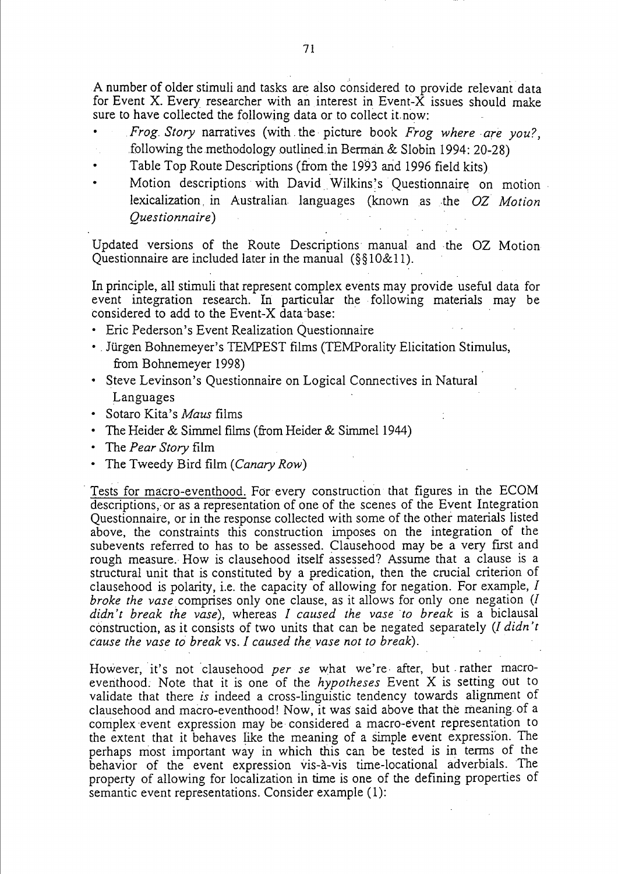A number of older stimuli and tasks are also considered to provide relevant data for Event X. Every researcher with an interest in Event- $\tilde{X}$  issues should make sure to have collected the following data or to collect it.now:

- *Frog. Story* narratives (with. the· picture book *Frog where are you?,*  following the methodology outlined in Berman & Slobin 1994: 20-28)
- Table Top Route Descriptions (from the 1993 and 1996 field kits)
- Motion descriptions with David Wilkins's Questionnaire on motion lexicalization, in Australian languages (known as the *OZ Motion Ques tionnaire)*

Updated versions of the Route Descriptions' manual and the OZ Motion Questionnaire are included later in the manual (§§ 10&11).

In principle, all stimuli that represent complex events may provide useful data for event integration research. In particular the following materials may be considered to add to the Event-X data -base:

- Eric Pederson's Event Realization Questionnaire
- Jürgen Bohnemeyer's TEMPEST films (TEMPorality Elicitation Stimulus, from Bohnemeyer 1998)
- Steve Levinson's Questionnaire on Logical Connectives in Natural Languages
- Sotaro Kita's *Maus* films
- The Heider & Simmel films (from Heider & Simmel 1944)
- The *Pear Story* film
- The Tweedy Bird film *(Canary Row)*

. Tests for macro-eventhood. For every construction that figures in the ECOM descriptions, or as a representation of one of the scenes of the Event Integration Questionnaire, or in the response collected with some of the other materials listed above, the constraints this construction imposes on the integration of the subevents referred to has to be assessed. Clausehood may be a very first and rough measure. How is clausehood itself assessed? Assume that a clause is a structural unit that is constituted by a predication, then the crucial criterion of clausehood is polarity, i.e. the capacity of allowing for negation. For example, *I broke the vase.* comprises only one clause, as it allows for only one negation *(l didn't break the vase),* whereas *I caused the vase 'to break* is a biclausal construction, as it consists of two units that can be negated separately *(l didn't Cause the vase to break* vs. *I caused the vase not to break). .* 

However, it's not clausehood *per se* what we're after, but rather macroeventhood: Note that it is one of the *hypotheses* Event X is setting out to validate that there *is* indeed a cross-linguistic tendency towards alignment of clausehood and macro-eventhood! Now, it was said above that the meaning. of a complex event expression may be considered a macro-event representation to the extent that it behaves like the meaning of a simple event expression. The perhaps most important way in which this can be tested is in terms of the behavior of the event expression vis-à-vis time-locational adverbials. The property of allowing for localization in time is one of the defining properties of semantic event representations. Consider example (1):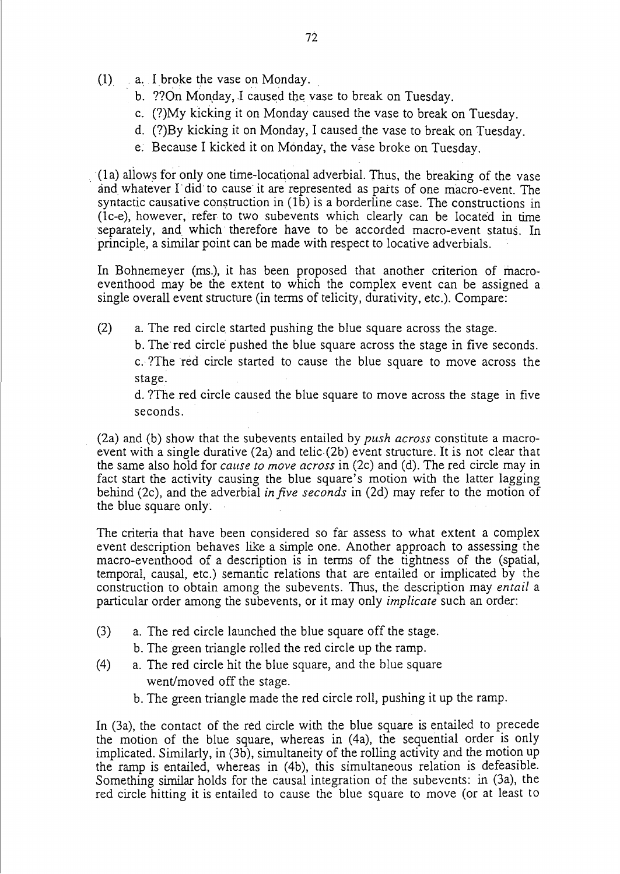- $(1)$  a. I broke the vase on Monday.
	- b. ??On Monday, I caused the vase to break on Tuesday.
	- c,. (?)My kicking it on Monday caused the vase to break on Tuesday.
	- d. (?)By kicking it on Monday, I caused the vase to break on Tuesday.
	- e: Because I kicked it on Monday, the vase broke on Tuesday.

(la) aliows for only one time-Iocational adverbial. Thus, the breaking of the vase and whatever l' did' to cause'it are represented as parts of one macro-event. The syntactic causative construction in  $(1\bar{b})$  is a borderline case. The constructions in (Ic-e), however, refer to two subevents which clearly can be located in time 'separately, and which therefore have to be accorded macro-event status. In principle, a similar point can be made with respect to locative adverbials.

In Bohnemeyer (ms.), it has been proposed that another criterion of macroeverithood may be the extent to which the complex event can be assigned a single overall event structure (in terms of telicity, durativity, etc.). Compare:

(2) a. The red circle, started pushing the blue square across the stage.

b. The'red circle' pushed the blue square across the stage in five seconds.

c. ?The red circle started to cause the blue square to move across the stage.

d. ?The red circle caused the blue square to move across the stage in five seconds.

(2a) and (b) show that the subevents entailed by *push across* constitute a macroevent with a single durative (2a) and telic (2b) event structure. It is not clear that the same also hold for *cause to move across* in (2c) and (d). The red circle may in fact start the activity causing the blue square's motion with the latter lagging behind (2c), and the adverbial *infive seconds* in (2d) may refer to the motion of the blue square only.

The criteria that have been considered so far assess to what extent a complex event description behaves like a simple one. Another approach to assessing the macro-eventhood of a description is in terms of the tightness of the (spatial, temporal, causal, etc.) semantic relations that are entailed or implicated by the construction to obtain among the subevents. Thus, the description may *entail* a particular order among the subevents, or it may only *implicate* such an order:

- (3) a. The red circle launched the blue square off the stage.
	- b. The green triangle rolled the red circle up the ramp.
- (4) a. The red circle hit the blue square, and the blue square went/moved off the stage.
	- b. The green triangle made the red circle roll, pushing it up the ramp.

In (3a), the contact of the red circle with the blue square is entailed to precede the motion of the blue square, whereas in (4a), the sequential order is only implicated. Similarly, in (3b), simultaneity of the rolling activity and the motion up the ramp is entailed, whereas in (4b), this simultaneous relation is defeasible. Something similar holds for the causal integration of the subevents: in (3a), the red circle hitting it is entailed to cause the blue square to move (or at least to